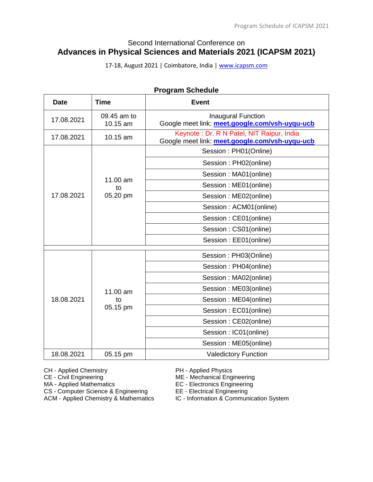# Second International Conference on **Advances in Physical Sciences and Materials 2021 (ICAPSM 2021)**

17-18, August 2021 | Coimbatore, India [| www.icapsm.com](http://www.icapsm.com/)

| Program Schedule |                         |                                                                                             |  |
|------------------|-------------------------|---------------------------------------------------------------------------------------------|--|
| <b>Date</b>      | <b>Time</b>             | <b>Event</b>                                                                                |  |
| 17.08.2021       | 09.45 am to<br>10.15 am | <b>Inaugural Function</b><br>Google meet link: meet.google.com/vsh-uyqu-ucb                 |  |
| 17.08.2021       | 10.15 am                | Keynote: Dr. R N Patel, NIT Raipur, India<br>Google meet link: meet.google.com/vsh-uyqu-ucb |  |
|                  |                         | Session: PH01(Online)                                                                       |  |
|                  |                         | Session: PH02(online)                                                                       |  |
|                  |                         | Session: MA01(online)                                                                       |  |
|                  | 11.00 am<br>to          | Session: ME01(online)                                                                       |  |
| 17.08.2021       | 05.20 pm                | Session: ME02(online)                                                                       |  |
|                  |                         | Session: ACM01(online)                                                                      |  |
|                  |                         | Session: CE01(online)                                                                       |  |
|                  |                         | Session: CS01(online)                                                                       |  |
|                  |                         | Session: EE01(online)                                                                       |  |
|                  |                         | Session: PH03(Online)                                                                       |  |
|                  |                         | Session: PH04(online)                                                                       |  |
|                  |                         | Session: MA02(online)                                                                       |  |
|                  | 11.00 am                | Session: ME03(online)                                                                       |  |
| 18.08.2021       | to                      | Session: ME04(online)                                                                       |  |
|                  | 05.15 pm                | Session: EC01(online)                                                                       |  |
|                  |                         | Session: CE02(online)                                                                       |  |
|                  |                         | Session: IC01(online)                                                                       |  |
|                  |                         | Session: ME05(online)                                                                       |  |
| 18.08.2021       | 05.15 pm                | <b>Valedictory Function</b>                                                                 |  |

**Program Schedule**

CH - Applied Chemistry **PH - Applied Physics**<br>CE - Civil Engineering **PH - ME - Mechanical Engi** 

MA - Applied Mathematics Engineering<br>
CS - Computer Science & Engineering<br>
EE - Electrical Engineering

CS - Computer Science & Engineering<br>ACM - Applied Chemistry & Mathematics

ME - Mechanical Engineering

IC - Information & Communication System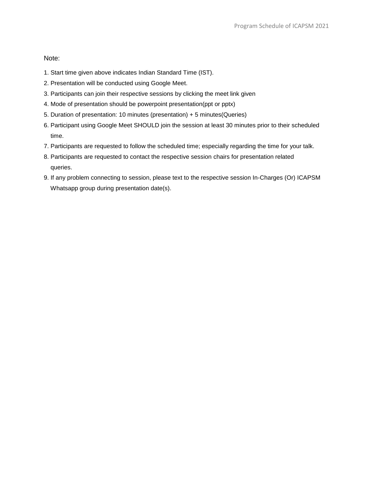Note:

- 1. Start time given above indicates Indian Standard Time (IST).
- 2. Presentation will be conducted using Google Meet.
- 3. Participants can join their respective sessions by clicking the meet link given
- 4. Mode of presentation should be powerpoint presentation(ppt or pptx)
- 5. Duration of presentation: 10 minutes (presentation) + 5 minutes(Queries)
- 6. Participant using Google Meet SHOULD join the session at least 30 minutes prior to their scheduled time.
- 7. Participants are requested to follow the scheduled time; especially regarding the time for your talk.
- 8. Participants are requested to contact the respective session chairs for presentation related queries.
- 9. If any problem connecting to session, please text to the respective session In-Charges (Or) ICAPSM Whatsapp group during presentation date(s).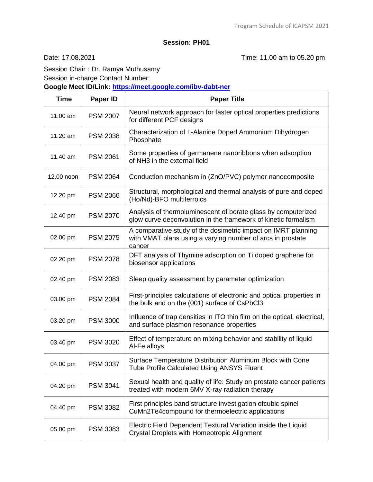Date: 17.08.2021 Time: 11.00 am to 05.20 pm

Session Chair : Dr. Ramya Muthusamy

Session in-charge Contact Number:

**Google Meet ID/Link:<https://meet.google.com/ibv-dabt-ner>**

| <b>Time</b> | Paper ID        | <b>Paper Title</b>                                                                                                                    |
|-------------|-----------------|---------------------------------------------------------------------------------------------------------------------------------------|
| 11.00 am    | <b>PSM 2007</b> | Neural network approach for faster optical properties predictions<br>for different PCF designs                                        |
| 11.20 am    | <b>PSM 2038</b> | Characterization of L-Alanine Doped Ammonium Dihydrogen<br>Phosphate                                                                  |
| 11.40 am    | <b>PSM 2061</b> | Some properties of germanene nanoribbons when adsorption<br>of NH3 in the external field                                              |
| 12.00 noon  | <b>PSM 2064</b> | Conduction mechanism in (ZnO/PVC) polymer nanocomposite                                                                               |
| 12.20 pm    | <b>PSM 2066</b> | Structural, morphological and thermal analysis of pure and doped<br>(Ho/Nd)-BFO multiferroics                                         |
| 12.40 pm    | <b>PSM 2070</b> | Analysis of thermoluminescent of borate glass by computerized<br>glow curve deconvolution in the framework of kinetic formalism       |
| 02.00 pm    | <b>PSM 2075</b> | A comparative study of the dosimetric impact on IMRT planning<br>with VMAT plans using a varying number of arcs in prostate<br>cancer |
| 02.20 pm    | <b>PSM 2078</b> | DFT analysis of Thymine adsorption on Ti doped graphene for<br>biosensor applications                                                 |
| 02.40 pm    | <b>PSM 2083</b> | Sleep quality assessment by parameter optimization                                                                                    |
| 03.00 pm    | <b>PSM 2084</b> | First-principles calculations of electronic and optical properties in<br>the bulk and on the (001) surface of CsPbCl3                 |
| 03.20 pm    | <b>PSM 3000</b> | Influence of trap densities in ITO thin film on the optical, electrical,<br>and surface plasmon resonance properties                  |
| 03.40 pm    | <b>PSM 3020</b> | Effect of temperature on mixing behavior and stability of liquid<br>Al-Fe alloys                                                      |
| 04.00 pm    | <b>PSM 3037</b> | Surface Temperature Distribution Aluminum Block with Cone<br>Tube Profile Calculated Using ANSYS Fluent                               |
| 04.20 pm    | <b>PSM 3041</b> | Sexual health and quality of life: Study on prostate cancer patients<br>treated with modern 6MV X-ray radiation therapy               |
| 04.40 pm    | <b>PSM 3082</b> | First principles band structure investigation ofcubic spinel<br>CuMn2Te4compound for thermoelectric applications                      |
| 05.00 pm    | <b>PSM 3083</b> | Electric Field Dependent Textural Variation inside the Liquid<br>Crystal Droplets with Homeotropic Alignment                          |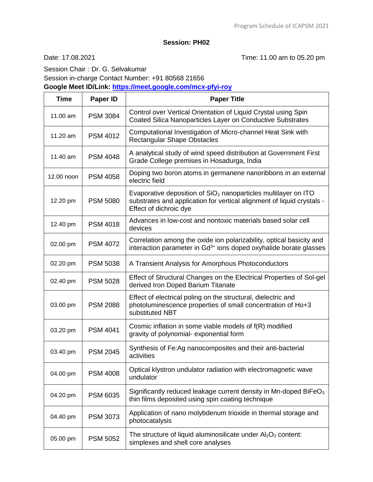Date: 17.08.2021 Time: 11.00 am to 05.20 pm

Session Chair : Dr. G. Selvakumar Session in-charge Contact Number: +91 80568 21656 **Google Meet ID/Link:<https://meet.google.com/mcx-pfyi-roy>**

| <b>Time</b> | <b>Paper ID</b> | <b>Paper Title</b>                                                                                                                                                   |
|-------------|-----------------|----------------------------------------------------------------------------------------------------------------------------------------------------------------------|
| 11.00 am    | <b>PSM 3084</b> | Control over Vertical Orientation of Liquid Crystal using Spin<br>Coated Silica Nanoparticles Layer on Conductive Substrates                                         |
| 11.20 am    | <b>PSM 4012</b> | Computational Investigation of Micro-channel Heat Sink with<br><b>Rectangular Shape Obstacles</b>                                                                    |
| 11.40 am    | <b>PSM 4048</b> | A analytical study of wind speed distribution at Government First<br>Grade College premises in Hosadurga, India                                                      |
| 12.00 noon  | <b>PSM 4058</b> | Doping two boron atoms in germanene nanoribbons in an external<br>electric field                                                                                     |
| 12.20 pm    | <b>PSM 5080</b> | Evaporative deposition of $SiO2$ nanoparticles multilayer on ITO<br>substrates and application for vertical alignment of liquid crystals -<br>Effect of dichroic dye |
| 12.40 pm    | <b>PSM 4018</b> | Advances in low-cost and nontoxic materials based solar cell<br>devices                                                                                              |
| 02.00 pm    | <b>PSM 4072</b> | Correlation among the oxide ion polarizability, optical basicity and<br>interaction parameter in Gd <sup>3+</sup> ions doped oxyhalide borate glasses                |
| 02.20 pm    | <b>PSM 5038</b> | A Transient Analysis for Amorphous Photoconductors                                                                                                                   |
| 02.40 pm    | <b>PSM 5028</b> | Effect of Structural Changes on the Electrical Properties of Sol-gel<br>derived Iron Doped Barium Titanate                                                           |
| 03.00 pm    | <b>PSM 2088</b> | Effect of electrical poling on the structural, dielectric and<br>photoluminescence properties of small concentration of Ho+3<br>substituted NBT                      |
| 03.20 pm    | <b>PSM 4041</b> | Cosmic inflation in some viable models of f(R) modified<br>gravity of polynomial- exponential form                                                                   |
| 03.40 pm    | <b>PSM 2045</b> | Synthesis of Fe:Ag nanocomposites and their anti-bacterial<br>activities                                                                                             |
| 04.00 pm    | <b>PSM 4008</b> | Optical klystron undulator radiation with electromagnetic wave<br>undulator                                                                                          |
| 04.20 pm    | <b>PSM 6035</b> | Significantly reduced leakage current density in Mn-doped BiFe $O3$<br>thin films deposited using spin coating technique                                             |
| 04.40 pm    | <b>PSM 3073</b> | Application of nano molybdenum trioxide in thermal storage and<br>photocatalysis                                                                                     |
| 05.00 pm    | <b>PSM 5052</b> | The structure of liquid aluminosilicate under $Al_2O_3$ content:<br>simplexes and shell core analyses                                                                |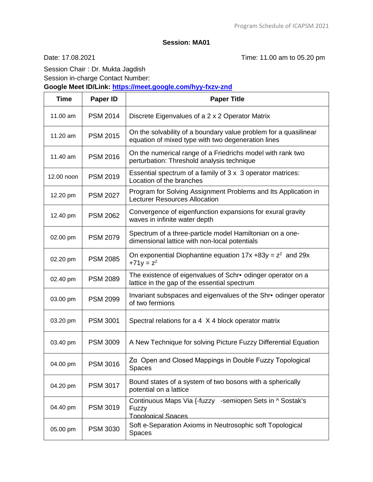Date: 17.08.2021 Time: 11.00 am to 05.20 pm

Session Chair : Dr. Mukta Jagdish Session in-charge Contact Number:

**Google Meet ID/Link:<https://meet.google.com/hyy-fxzv-znd>**

| <b>Time</b> | Paper ID        | <b>Paper Title</b>                                                                                                     |
|-------------|-----------------|------------------------------------------------------------------------------------------------------------------------|
| 11.00 am    | <b>PSM 2014</b> | Discrete Eigenvalues of a 2 x 2 Operator Matrix                                                                        |
| 11.20 am    | <b>PSM 2015</b> | On the solvability of a boundary value problem for a quasilinear<br>equation of mixed type with two degeneration lines |
| 11.40 am    | <b>PSM 2016</b> | On the numerical range of a Friedrichs model with rank two<br>perturbation: Threshold analysis technique               |
| 12.00 noon  | <b>PSM 2019</b> | Essential spectrum of a family of 3 x 3 operator matrices:<br>Location of the branches                                 |
| 12.20 pm    | <b>PSM 2027</b> | Program for Solving Assignment Problems and Its Application in<br><b>Lecturer Resources Allocation</b>                 |
| 12.40 pm    | <b>PSM 2062</b> | Convergence of eigenfunction expansions for exural gravity<br>waves in infinite water depth                            |
| 02.00 pm    | <b>PSM 2079</b> | Spectrum of a three-particle model Hamiltonian on a one-<br>dimensional lattice with non-local potentials              |
| 02.20 pm    | <b>PSM 2085</b> | On exponential Diophantine equation $17x + 83y = z^2$ and $29x$<br>$+71y = z^2$                                        |
| 02.40 pm    | <b>PSM 2089</b> | The existence of eigenvalues of Schr• odinger operator on a<br>lattice in the gap of the essential spectrum            |
| 03.00 pm    | <b>PSM 2099</b> | Invariant subspaces and eigenvalues of the Shr• odinger operator<br>of two fermions                                    |
| 03.20 pm    | <b>PSM 3001</b> | Spectral relations for a 4 X 4 block operator matrix                                                                   |
| 03.40 pm    | <b>PSM 3009</b> | A New Technique for solving Picture Fuzzy Differential Equation                                                        |
| 04.00 pm    | <b>PSM 3016</b> | Za Open and Closed Mappings in Double Fuzzy Topological<br><b>Spaces</b>                                               |
| 04.20 pm    | <b>PSM 3017</b> | Bound states of a system of two bosons with a spherically<br>potential on a lattice                                    |
| 04.40 pm    | <b>PSM 3019</b> | Continuous Maps Via {-fuzzy -semiopen Sets in ^ Sostak's<br>Fuzzy<br><b>Topological Spaces</b>                         |
| 05.00 pm    | <b>PSM 3030</b> | Soft e-Separation Axioms in Neutrosophic soft Topological<br><b>Spaces</b>                                             |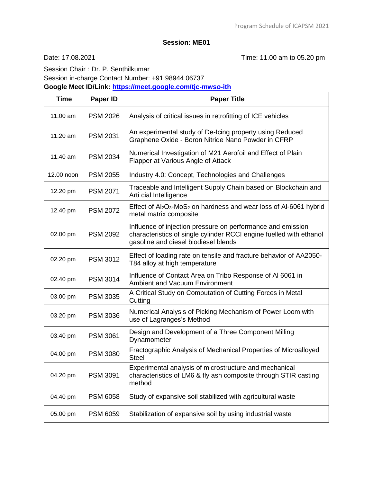Date: 17.08.2021 Time: 11.00 am to 05.20 pm

Session Chair : Dr. P. Senthilkumar Session in-charge Contact Number: +91 98944 06737

**Google Meet ID/Link:<https://meet.google.com/tjc-mwso-ith>**

| <b>Time</b> | Paper ID        | <b>Paper Title</b>                                                                                                                                                         |
|-------------|-----------------|----------------------------------------------------------------------------------------------------------------------------------------------------------------------------|
| 11.00 am    | <b>PSM 2026</b> | Analysis of critical issues in retrofitting of ICE vehicles                                                                                                                |
| 11.20 am    | <b>PSM 2031</b> | An experimental study of De-Icing property using Reduced<br>Graphene Oxide - Boron Nitride Nano Powder in CFRP                                                             |
| 11.40 am    | <b>PSM 2034</b> | Numerical Investigation of M21 Aerofoil and Effect of Plain<br>Flapper at Various Angle of Attack                                                                          |
| 12.00 noon  | <b>PSM 2055</b> | Industry 4.0: Concept, Technologies and Challenges                                                                                                                         |
| 12.20 pm    | <b>PSM 2071</b> | Traceable and Intelligent Supply Chain based on Blockchain and<br>Arti cial Intelligence                                                                                   |
| 12.40 pm    | <b>PSM 2072</b> | Effect of $Al_2O_3$ -MoS <sub>2</sub> on hardness and wear loss of Al-6061 hybrid<br>metal matrix composite                                                                |
| 02.00 pm    | <b>PSM 2092</b> | Influence of injection pressure on performance and emission<br>characteristics of single cylinder RCCI engine fuelled with ethanol<br>gasoline and diesel biodiesel blends |
| 02.20 pm    | <b>PSM 3012</b> | Effect of loading rate on tensile and fracture behavior of AA2050-<br>T84 alloy at high temperature                                                                        |
| 02.40 pm    | <b>PSM 3014</b> | Influence of Contact Area on Tribo Response of Al 6061 in<br><b>Ambient and Vacuum Environment</b>                                                                         |
| 03.00 pm    | <b>PSM 3035</b> | A Critical Study on Computation of Cutting Forces in Metal<br>Cutting                                                                                                      |
| 03.20 pm    | <b>PSM 3036</b> | Numerical Analysis of Picking Mechanism of Power Loom with<br>use of Lagranges's Method                                                                                    |
| 03.40 pm    | <b>PSM 3061</b> | Design and Development of a Three Component Milling<br>Dynamometer                                                                                                         |
| 04.00 pm    | <b>PSM 3080</b> | Fractographic Analysis of Mechanical Properties of Microalloyed<br><b>Steel</b>                                                                                            |
| 04.20 pm    | <b>PSM 3091</b> | Experimental analysis of microstructure and mechanical<br>characteristics of LM6 & fly ash composite through STIR casting<br>method                                        |
| 04.40 pm    | <b>PSM 6058</b> | Study of expansive soil stabilized with agricultural waste                                                                                                                 |
| 05.00 pm    | <b>PSM 6059</b> | Stabilization of expansive soil by using industrial waste                                                                                                                  |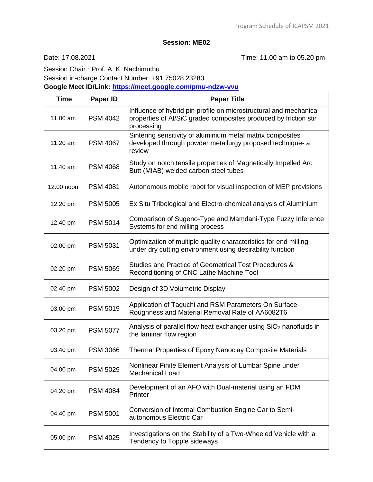Date: 17.08.2021 Time: 11.00 am to 05.20 pm

Session Chair : Prof. A. K. Nachimuthu Session in-charge Contact Number: +91 75028 23283 **Google Meet ID/Link:<https://meet.google.com/pmu-ndzw-vvu>**

| <b>Time</b> | Paper ID        | <b>Paper Title</b>                                                                                                                                  |
|-------------|-----------------|-----------------------------------------------------------------------------------------------------------------------------------------------------|
| 11.00 am    | <b>PSM 4042</b> | Influence of hybrid pin profile on microstructural and mechanical<br>properties of Al/SiC graded composites produced by friction stir<br>processing |
| 11.20 am    | <b>PSM 4067</b> | Sintering sensitivity of aluminium metal matrix composites<br>developed through powder metallurgy proposed technique- a<br>review                   |
| 11.40 am    | <b>PSM 4068</b> | Study on notch tensile properties of Magnetically Impelled Arc<br>Butt (MIAB) welded carbon steel tubes                                             |
| 12.00 noon  | <b>PSM 4081</b> | Autonomous mobile robot for visual inspection of MEP provisions                                                                                     |
| 12.20 pm    | <b>PSM 5005</b> | Ex Situ Tribological and Electro-chemical analysis of Aluminium                                                                                     |
| 12.40 pm    | <b>PSM 5014</b> | Comparison of Sugeno-Type and Mamdani-Type Fuzzy Inference<br>Systems for end milling process                                                       |
| 02.00 pm    | <b>PSM 5031</b> | Optimization of multiple quality characteristics for end milling<br>under dry cutting environment using desirability function                       |
| 02.20 pm    | <b>PSM 5069</b> | Studies and Practice of Geometrical Test Procedures &<br>Reconditioning of CNC Lathe Machine Tool                                                   |
| 02.40 pm    | <b>PSM 5002</b> | Design of 3D Volumetric Display                                                                                                                     |
| 03.00 pm    | <b>PSM 5019</b> | Application of Taguchi and RSM Parameters On Surface<br>Roughness and Material Removal Rate of AA6082T6                                             |
| 03.20 pm    | <b>PSM 5077</b> | Analysis of parallel flow heat exchanger using $SiO2$ nanofluids in<br>the laminar flow region                                                      |
| 03.40 pm    | <b>PSM 3066</b> | Thermal Properties of Epoxy Nanoclay Composite Materials                                                                                            |
| 04.00 pm    | <b>PSM 5029</b> | Nonlinear Finite Element Analysis of Lumbar Spine under<br><b>Mechanical Load</b>                                                                   |
| 04.20 pm    | <b>PSM 4084</b> | Development of an AFO with Dual-material using an FDM<br>Printer                                                                                    |
| 04.40 pm    | <b>PSM 5001</b> | Conversion of Internal Combustion Engine Car to Semi-<br>autonomous Electric Car                                                                    |
| 05.00 pm    | <b>PSM 4025</b> | Investigations on the Stability of a Two-Wheeled Vehicle with a<br>Tendency to Topple sideways                                                      |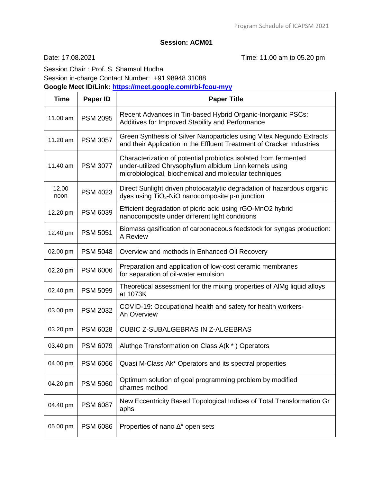# **Session: ACM01**

Date: 17.08.2021 Time: 11.00 am to 05.20 pm

Session Chair : Prof. S. Shamsul Hudha

Session in-charge Contact Number: +91 98948 31088

**Google Meet ID/Link:<https://meet.google.com/rbi-fcou-myy>**

| <b>Time</b>   | Paper ID        | <b>Paper Title</b>                                                                                                                                                                   |
|---------------|-----------------|--------------------------------------------------------------------------------------------------------------------------------------------------------------------------------------|
| 11.00 am      | <b>PSM 2095</b> | Recent Advances in Tin-based Hybrid Organic-Inorganic PSCs:<br>Additives for Improved Stability and Performance                                                                      |
| 11.20 am      | <b>PSM 3057</b> | Green Synthesis of Silver Nanoparticles using Vitex Negundo Extracts<br>and their Application in the Effluent Treatment of Cracker Industries                                        |
| 11.40 am      | <b>PSM 3077</b> | Characterization of potential probiotics isolated from fermented<br>under-utilized Chrysophyllum albidum Linn kernels using<br>microbiological, biochemical and molecular techniques |
| 12.00<br>noon | <b>PSM 4023</b> | Direct Sunlight driven photocatalytic degradation of hazardous organic<br>dyes using TiO <sub>2</sub> -NiO nanocomposite p-n junction                                                |
| 12.20 pm      | <b>PSM 6039</b> | Efficient degradation of picric acid using rGO-MnO2 hybrid<br>nanocomposite under different light conditions                                                                         |
| 12.40 pm      | <b>PSM 5051</b> | Biomass gasification of carbonaceous feedstock for syngas production:<br>A Review                                                                                                    |
| 02.00 pm      | <b>PSM 5048</b> | Overview and methods in Enhanced Oil Recovery                                                                                                                                        |
| 02.20 pm      | <b>PSM 6006</b> | Preparation and application of low-cost ceramic membranes<br>for separation of oil-water emulsion                                                                                    |
| 02.40 pm      | <b>PSM 5099</b> | Theoretical assessment for the mixing properties of AIMg liquid alloys<br>at 1073K                                                                                                   |
| 03.00 pm      | <b>PSM 2032</b> | COVID-19: Occupational health and safety for health workers-<br>An Overview                                                                                                          |
| 03.20 pm      | <b>PSM 6028</b> | <b>CUBIC Z-SUBALGEBRAS IN Z-ALGEBRAS</b>                                                                                                                                             |
| 03.40 pm      | <b>PSM 6079</b> | Aluthge Transformation on Class A(k *) Operators                                                                                                                                     |
| 04.00 pm      | <b>PSM 6066</b> | Quasi M-Class Ak* Operators and its spectral properties                                                                                                                              |
| 04.20 pm      | <b>PSM 5060</b> | Optimum solution of goal programming problem by modified<br>charnes method                                                                                                           |
| 04.40 pm      | <b>PSM 6087</b> | New Eccentricity Based Topological Indices of Total Transformation Gr<br>aphs                                                                                                        |
| 05.00 pm      | <b>PSM 6086</b> | Properties of nano $\Delta^*$ open sets                                                                                                                                              |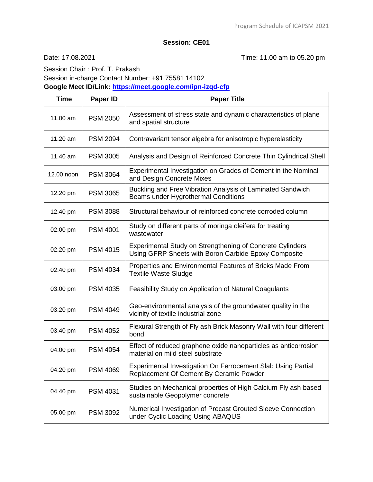Date: 17.08.2021 Time: 11.00 am to 05.20 pm

Session Chair : Prof. T. Prakash Session in-charge Contact Number: +91 75581 14102 **Google Meet ID/Link:<https://meet.google.com/ipn-izqd-cfp>**

| <b>Time</b> | Paper ID        | <b>Paper Title</b>                                                                                                |
|-------------|-----------------|-------------------------------------------------------------------------------------------------------------------|
| 11.00 am    | <b>PSM 2050</b> | Assessment of stress state and dynamic characteristics of plane<br>and spatial structure                          |
| 11.20 am    | <b>PSM 2094</b> | Contravariant tensor algebra for anisotropic hyperelasticity                                                      |
| 11.40 am    | <b>PSM 3005</b> | Analysis and Design of Reinforced Concrete Thin Cylindrical Shell                                                 |
| 12.00 noon  | <b>PSM 3064</b> | Experimental Investigation on Grades of Cement in the Nominal<br>and Design Concrete Mixes                        |
| 12.20 pm    | <b>PSM 3065</b> | Buckling and Free Vibration Analysis of Laminated Sandwich<br>Beams under Hygrothermal Conditions                 |
| 12.40 pm    | <b>PSM 3088</b> | Structural behaviour of reinforced concrete corroded column                                                       |
| 02.00 pm    | <b>PSM 4001</b> | Study on different parts of moringa oleifera for treating<br>wastewater                                           |
| 02.20 pm    | <b>PSM 4015</b> | Experimental Study on Strengthening of Concrete Cylinders<br>Using GFRP Sheets with Boron Carbide Epoxy Composite |
| 02.40 pm    | <b>PSM 4034</b> | Properties and Environmental Features of Bricks Made From<br><b>Textile Waste Sludge</b>                          |
| 03.00 pm    | <b>PSM 4035</b> | Feasibility Study on Application of Natural Coagulants                                                            |
| 03.20 pm    | <b>PSM 4049</b> | Geo-environmental analysis of the groundwater quality in the<br>vicinity of textile industrial zone               |
| 03.40 pm    | <b>PSM 4052</b> | Flexural Strength of Fly ash Brick Masonry Wall with four different<br>bond                                       |
| 04.00 pm    | <b>PSM 4054</b> | Effect of reduced graphene oxide nanoparticles as anticorrosion<br>material on mild steel substrate               |
| 04.20 pm    | <b>PSM 4069</b> | Experimental Investigation On Ferrocement Slab Using Partial<br>Replacement Of Cement By Ceramic Powder           |
| 04.40 pm    | <b>PSM 4031</b> | Studies on Mechanical properties of High Calcium Fly ash based<br>sustainable Geopolymer concrete                 |
| 05.00 pm    | <b>PSM 3092</b> | Numerical Investigation of Precast Grouted Sleeve Connection<br>under Cyclic Loading Using ABAQUS                 |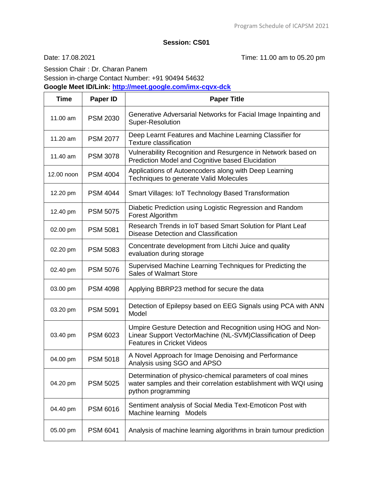# **Session: CS01**

Date: 17.08.2021 Time: 11.00 am to 05.20 pm

Session Chair : Dr. Charan Panem Session in-charge Contact Number: +91 90494 54632

**Google Meet ID/Link:<http://meet.google.com/imx-cqvx-dck>**

| <b>Time</b> | <b>Paper ID</b> | <b>Paper Title</b>                                                                                                                                              |
|-------------|-----------------|-----------------------------------------------------------------------------------------------------------------------------------------------------------------|
| 11.00 am    | <b>PSM 2030</b> | Generative Adversarial Networks for Facial Image Inpainting and<br>Super-Resolution                                                                             |
| 11.20 am    | <b>PSM 2077</b> | Deep Learnt Features and Machine Learning Classifier for<br><b>Texture classification</b>                                                                       |
| 11.40 am    | <b>PSM 3078</b> | Vulnerability Recognition and Resurgence in Network based on<br><b>Prediction Model and Cognitive based Elucidation</b>                                         |
| 12.00 noon  | <b>PSM 4004</b> | Applications of Autoencoders along with Deep Learning<br>Techniques to generate Valid Molecules                                                                 |
| 12.20 pm    | <b>PSM 4044</b> | <b>Smart Villages: IoT Technology Based Transformation</b>                                                                                                      |
| 12.40 pm    | <b>PSM 5075</b> | Diabetic Prediction using Logistic Regression and Random<br>Forest Algorithm                                                                                    |
| 02.00 pm    | <b>PSM 5081</b> | Research Trends in IoT based Smart Solution for Plant Leaf<br>Disease Detection and Classification                                                              |
| 02.20 pm    | <b>PSM 5083</b> | Concentrate development from Litchi Juice and quality<br>evaluation during storage                                                                              |
| 02.40 pm    | <b>PSM 5076</b> | Supervised Machine Learning Techniques for Predicting the<br><b>Sales of Walmart Store</b>                                                                      |
| 03.00 pm    | <b>PSM 4098</b> | Applying BBRP23 method for secure the data                                                                                                                      |
| 03.20 pm    | <b>PSM 5091</b> | Detection of Epilepsy based on EEG Signals using PCA with ANN<br>Model                                                                                          |
| 03.40 pm    | <b>PSM 6023</b> | Umpire Gesture Detection and Recognition using HOG and Non-<br>Linear Support VectorMachine (NL-SVM)Classification of Deep<br><b>Features in Cricket Videos</b> |
| 04.00 pm    | <b>PSM 5018</b> | A Novel Approach for Image Denoising and Performance<br>Analysis using SGO and APSO                                                                             |
| 04.20 pm    | <b>PSM 5025</b> | Determination of physico-chemical parameters of coal mines<br>water samples and their correlation establishment with WQI using<br>python programming            |
| 04.40 pm    | <b>PSM 6016</b> | Sentiment analysis of Social Media Text-Emoticon Post with<br>Machine learning<br>Models                                                                        |
| 05.00 pm    | <b>PSM 6041</b> | Analysis of machine learning algorithms in brain tumour prediction                                                                                              |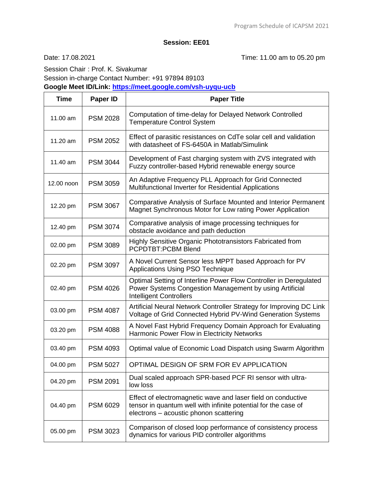Date: 17.08.2021 Time: 11.00 am to 05.20 pm

Session Chair : Prof. K. Sivakumar Session in-charge Contact Number: +91 97894 89103 **Google Meet ID/Link:<https://meet.google.com/vsh-uyqu-ucb>**

| <b>Time</b> | Paper ID        | <b>Paper Title</b>                                                                                                                                                       |
|-------------|-----------------|--------------------------------------------------------------------------------------------------------------------------------------------------------------------------|
| 11.00 am    | <b>PSM 2028</b> | Computation of time-delay for Delayed Network Controlled<br><b>Temperature Control System</b>                                                                            |
| 11.20 am    | <b>PSM 2052</b> | Effect of parasitic resistances on CdTe solar cell and validation<br>with datasheet of FS-6450A in Matlab/Simulink                                                       |
| 11.40 am    | <b>PSM 3044</b> | Development of Fast charging system with ZVS integrated with<br>Fuzzy controller-based Hybrid renewable energy source                                                    |
| 12.00 noon  | <b>PSM 3059</b> | An Adaptive Frequency PLL Approach for Grid Connected<br>Multifunctional Inverter for Residential Applications                                                           |
| 12.20 pm    | <b>PSM 3067</b> | Comparative Analysis of Surface Mounted and Interior Permanent<br>Magnet Synchronous Motor for Low rating Power Application                                              |
| 12.40 pm    | <b>PSM 3074</b> | Comparative analysis of image processing techniques for<br>obstacle avoidance and path deduction                                                                         |
| 02.00 pm    | <b>PSM 3089</b> | Highly Sensitive Organic Phototransistors Fabricated from<br><b>PCPDTBT:PCBM Blend</b>                                                                                   |
| 02.20 pm    | <b>PSM 3097</b> | A Novel Current Sensor less MPPT based Approach for PV<br><b>Applications Using PSO Technique</b>                                                                        |
| 02.40 pm    | <b>PSM 4026</b> | Optimal Setting of Interline Power Flow Controller in Deregulated<br>Power Systems Congestion Management by using Artificial<br><b>Intelligent Controllers</b>           |
| 03.00 pm    | <b>PSM 4087</b> | Artificial Neural Network Controller Strategy for Improving DC Link<br>Voltage of Grid Connected Hybrid PV-Wind Generation Systems                                       |
| 03.20 pm    | <b>PSM 4088</b> | A Novel Fast Hybrid Frequency Domain Approach for Evaluating<br>Harmonic Power Flow in Electricity Networks                                                              |
| 03.40 pm    | <b>PSM 4093</b> | Optimal value of Economic Load Dispatch using Swarm Algorithm                                                                                                            |
| 04.00 pm    | <b>PSM 5027</b> | OPTIMAL DESIGN OF SRM FOR EV APPLICATION                                                                                                                                 |
| 04.20 pm    | <b>PSM 2091</b> | Dual scaled approach SPR-based PCF RI sensor with ultra-<br>low loss                                                                                                     |
| 04.40 pm    | <b>PSM 6029</b> | Effect of electromagnetic wave and laser field on conductive<br>tensor in quantum well with infinite potential for the case of<br>electrons - acoustic phonon scattering |
| 05.00 pm    | <b>PSM 3023</b> | Comparison of closed loop performance of consistency process<br>dynamics for various PID controller algorithms                                                           |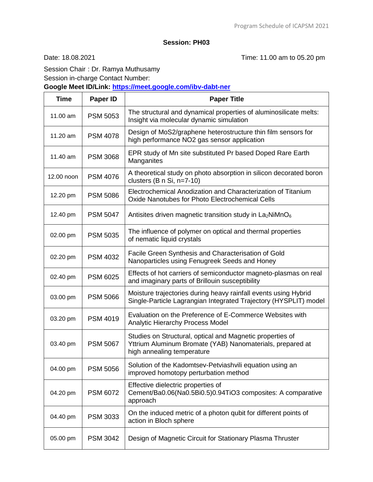Date: 18.08.2021 Time: 11.00 am to 05.20 pm

Session Chair : Dr. Ramya Muthusamy

Session in-charge Contact Number:

**Google Meet ID/Link:<https://meet.google.com/ibv-dabt-ner>**

| <b>Time</b> | Paper ID        | <b>Paper Title</b>                                                                                                                                   |
|-------------|-----------------|------------------------------------------------------------------------------------------------------------------------------------------------------|
| 11.00 am    | <b>PSM 5053</b> | The structural and dynamical properties of aluminosilicate melts:<br>Insight via molecular dynamic simulation                                        |
| 11.20 $am$  | <b>PSM 4078</b> | Design of MoS2/graphene heterostructure thin film sensors for<br>high performance NO2 gas sensor application                                         |
| 11.40 am    | <b>PSM 3068</b> | EPR study of Mn site substituted Pr based Doped Rare Earth<br>Manganites                                                                             |
| 12.00 noon  | <b>PSM 4076</b> | A theoretical study on photo absorption in silicon decorated boron<br>clusters $(B \nvert S_i, n=7-10)$                                              |
| 12.20 pm    | <b>PSM 5086</b> | Electrochemical Anodization and Characterization of Titanium<br>Oxide Nanotubes for Photo Electrochemical Cells                                      |
| 12.40 pm    | <b>PSM 5047</b> | Antisites driven magnetic transition study in $La2NiMnO6$                                                                                            |
| 02.00 pm    | <b>PSM 5035</b> | The influence of polymer on optical and thermal properties<br>of nematic liquid crystals                                                             |
| 02.20 pm    | <b>PSM 4032</b> | Facile Green Synthesis and Characterisation of Gold<br>Nanoparticles using Fenugreek Seeds and Honey                                                 |
| 02.40 pm    | <b>PSM 6025</b> | Effects of hot carriers of semiconductor magneto-plasmas on real<br>and imaginary parts of Brillouin susceptibility                                  |
| 03.00 pm    | <b>PSM 5066</b> | Moisture trajectories during heavy rainfall events using Hybrid<br>Single-Particle Lagrangian Integrated Trajectory (HYSPLIT) model                  |
| 03.20 pm    | <b>PSM 4019</b> | Evaluation on the Preference of E-Commerce Websites with<br>Analytic Hierarchy Process Model                                                         |
| 03.40 pm    | <b>PSM 5067</b> | Studies on Structural, optical and Magnetic properties of<br>Yttrium Aluminum Bromate (YAB) Nanomaterials, prepared at<br>high annealing temperature |
| 04.00 pm    | PSM 5056        | Solution of the Kadomtsev-Petviashvili equation using an<br>improved homotopy perturbation method                                                    |
| 04.20 pm    | <b>PSM 6072</b> | Effective dielectric properties of<br>Cement/Ba0.06(Na0.5Bi0.5)0.94TiO3 composites: A comparative<br>approach                                        |
| 04.40 pm    | <b>PSM 3033</b> | On the induced metric of a photon qubit for different points of<br>action in Bloch sphere                                                            |
| 05.00 pm    | <b>PSM 3042</b> | Design of Magnetic Circuit for Stationary Plasma Thruster                                                                                            |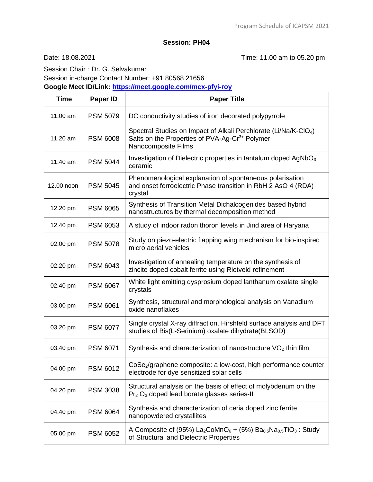Date: 18.08.2021 Time: 11.00 am to 05.20 pm

 $\overline{\phantom{0}}$ 

Session Chair : Dr. G. Selvakumar Session in-charge Contact Number: +91 80568 21656

**Google Meet ID/Link:<https://meet.google.com/mcx-pfyi-roy>**

| <b>Time</b> | <b>Paper ID</b> | <b>Paper Title</b>                                                                                                                                                     |
|-------------|-----------------|------------------------------------------------------------------------------------------------------------------------------------------------------------------------|
| 11.00 am    | <b>PSM 5079</b> | DC conductivity studies of iron decorated polypyrrole                                                                                                                  |
| 11.20 am    | <b>PSM 6008</b> | Spectral Studies on Impact of Alkali Perchlorate (Li/Na/K-CIO <sub>4</sub> )<br>Salts on the Properties of PVA-Ag-Cr <sup>3+</sup> Polymer<br>Nanocomposite Films      |
| 11.40 am    | <b>PSM 5044</b> | Investigation of Dielectric properties in tantalum doped $AgNbO3$<br>ceramic                                                                                           |
| 12.00 noon  | <b>PSM 5045</b> | Phenomenological explanation of spontaneous polarisation<br>and onset ferroelectric Phase transition in RbH 2 AsO 4 (RDA)<br>crystal                                   |
| 12.20 pm    | <b>PSM 6065</b> | Synthesis of Transition Metal Dichalcogenides based hybrid<br>nanostructures by thermal decomposition method                                                           |
| 12.40 pm    | <b>PSM 6053</b> | A study of indoor radon thoron levels in Jind area of Haryana                                                                                                          |
| 02.00 pm    | <b>PSM 5078</b> | Study on piezo-electric flapping wing mechanism for bio-inspired<br>micro aerial vehicles                                                                              |
| 02.20 pm    | <b>PSM 6043</b> | Investigation of annealing temperature on the synthesis of<br>zincite doped cobalt ferrite using Rietveld refinement                                                   |
| 02.40 pm    | <b>PSM 6067</b> | White light emitting dysprosium doped lanthanum oxalate single<br>crystals                                                                                             |
| 03.00 pm    | <b>PSM 6061</b> | Synthesis, structural and morphological analysis on Vanadium<br>oxide nanoflakes                                                                                       |
| 03.20 pm    | <b>PSM 6077</b> | Single crystal X-ray diffraction, Hirshfeld surface analysis and DFT<br>studies of Bis(L-Serinium) oxalate dihydrate(BLSOD)                                            |
| 03.40 pm    | <b>PSM 6071</b> | Synthesis and characterization of nanostructure VO <sub>2</sub> thin film                                                                                              |
| 04.00 pm    | PSM 6012        | CoSe <sub>2</sub> /graphene composite: a low-cost, high performance counter<br>electrode for dye sensitized solar cells                                                |
| 04.20 pm    | <b>PSM 3038</b> | Structural analysis on the basis of effect of molybdenum on the<br>Pr <sub>2</sub> O <sub>3</sub> doped lead borate glasses series-II                                  |
| 04.40 pm    | <b>PSM 6064</b> | Synthesis and characterization of ceria doped zinc ferrite<br>nanopowdered crystallites                                                                                |
| 05.00 pm    | <b>PSM 6052</b> | A Composite of (95%) La <sub>2</sub> CoMnO <sub>6</sub> + (5%) Ba <sub>0.5</sub> Na <sub>0.5</sub> TiO <sub>3</sub> : Study<br>of Structural and Dielectric Properties |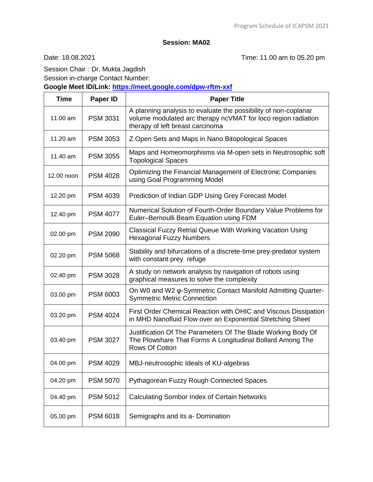Date: 18.08.2021 Time: 11.00 am to 05.20 pm

Session Chair : Dr. Mukta Jagdish Session in-charge Contact Number: **Google Meet ID/Link:<https://meet.google.com/dpw-rftm-xxf>**

| <b>Time</b> | Paper ID        | <b>Paper Title</b>                                                                                                                                                   |
|-------------|-----------------|----------------------------------------------------------------------------------------------------------------------------------------------------------------------|
| 11.00 am    | <b>PSM 3031</b> | A planning analysis to evaluate the possibility of non-coplanar<br>volume modulated arc therapy ncVMAT for loco region radiation<br>therapy of left breast carcinoma |
| 11.20 am    | <b>PSM 3053</b> | Z Open Sets and Maps in Nano Bitopological Spaces                                                                                                                    |
| 11.40 am    | <b>PSM 3055</b> | Maps and Homeomorphisms via M-open sets in Neutrosophic soft<br><b>Topological Spaces</b>                                                                            |
| 12.00 noon  | <b>PSM 4028</b> | Optimizing the Financial Management of Electronic Companies<br>using Goal Programming Model                                                                          |
| 12.20 pm    | <b>PSM 4039</b> | Prediction of Indian GDP Using Grey Forecast Model                                                                                                                   |
| 12.40 pm    | <b>PSM 4077</b> | Numerical Solution of Fourth-Order Boundary Value Problems for<br>Euler-Bernoulli Beam Equation using FDM                                                            |
| 02.00 pm    | <b>PSM 2090</b> | Classical Fuzzy Retrial Queue With Working Vacation Using<br><b>Hexagonal Fuzzy Numbers</b>                                                                          |
| 02.20 pm    | <b>PSM 5068</b> | Stability and bifurcations of a discrete-time prey-predator system<br>with constant prey refuge                                                                      |
| 02.40 pm    | <b>PSM 3028</b> | A study on network analysis by navigation of robots using<br>graphical measures to solve the complexity                                                              |
| 03.00 pm    | <b>PSM 6003</b> | On W0 and W2 o-Symmetric Contact Manifold Admitting Quarter-<br><b>Symmetric Metric Connection</b>                                                                   |
| 03.20 pm    | <b>PSM 4024</b> | First Order Chemical Reaction with OHIC and Viscous Dissipation<br>in MHD Nanofluid Flow over an Exponential Stretching Sheet                                        |
| 03.40 pm    | <b>PSM 3027</b> | Justification Of The Parameters Of The Blade Working Body Of<br>The Plowshare That Forms A Longitudinal Bollard Among The<br>Rows Of Cotton                          |
| 04.00 pm    | <b>PSM 4029</b> | MBJ-neutrosophic Ideals of KU-algebras                                                                                                                               |
| 04.20 pm    | <b>PSM 5070</b> | Pythagorean Fuzzy Rough Connected Spaces                                                                                                                             |
| 04.40 pm    | <b>PSM 5012</b> | <b>Calculating Sombor Index of Certain Networks</b>                                                                                                                  |
| 05.00 pm    | <b>PSM 6018</b> | Semigraphs and its a- Domination                                                                                                                                     |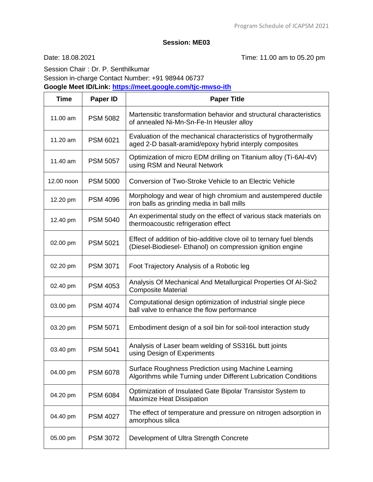Date: 18.08.2021 Time: 11.00 am to 05.20 pm

Session Chair : Dr. P. Senthilkumar Session in-charge Contact Number: +91 98944 06737

**Google Meet ID/Link:<https://meet.google.com/tjc-mwso-ith>**

| <b>Time</b> | Paper ID        | <b>Paper Title</b>                                                                                                                |
|-------------|-----------------|-----------------------------------------------------------------------------------------------------------------------------------|
| 11.00 am    | <b>PSM 5082</b> | Martensitic transformation behavior and structural characteristics<br>of annealed Ni-Mn-Sn-Fe-In Heusler alloy                    |
| 11.20 am    | <b>PSM 6021</b> | Evaluation of the mechanical characteristics of hygrothermally<br>aged 2-D basalt-aramid/epoxy hybrid interply composites         |
| 11.40 am    | <b>PSM 5057</b> | Optimization of micro EDM drilling on Titanium alloy (Ti-6Al-4V)<br>using RSM and Neural Network                                  |
| 12.00 noon  | <b>PSM 5000</b> | Conversion of Two-Stroke Vehicle to an Electric Vehicle                                                                           |
| 12.20 pm    | <b>PSM 4096</b> | Morphology and wear of high chromium and austempered ductile<br>iron balls as grinding media in ball mills                        |
| 12.40 pm    | <b>PSM 5040</b> | An experimental study on the effect of various stack materials on<br>thermoacoustic refrigeration effect                          |
| 02.00 pm    | <b>PSM 5021</b> | Effect of addition of bio-additive clove oil to ternary fuel blends<br>(Diesel-Biodiesel- Ethanol) on compression ignition engine |
| 02.20 pm    | <b>PSM 3071</b> | Foot Trajectory Analysis of a Robotic leg                                                                                         |
| 02.40 pm    | <b>PSM 4053</b> | Analysis Of Mechanical And Metallurgical Properties Of Al-Sio2<br><b>Composite Material</b>                                       |
| 03.00 pm    | <b>PSM 4074</b> | Computational design optimization of industrial single piece<br>ball valve to enhance the flow performance                        |
| 03.20 pm    | <b>PSM 5071</b> | Embodiment design of a soil bin for soil-tool interaction study                                                                   |
| 03.40 pm    | <b>PSM 5041</b> | Analysis of Laser beam welding of SS316L butt joints<br>using Design of Experiments                                               |
| 04.00 pm    | <b>PSM 6078</b> | Surface Roughness Prediction using Machine Learning<br>Algorithms while Turning under Different Lubrication Conditions            |
| 04.20 pm    | <b>PSM 6084</b> | Optimization of Insulated Gate Bipolar Transistor System to<br>Maximize Heat Dissipation                                          |
| 04.40 pm    | <b>PSM 4027</b> | The effect of temperature and pressure on nitrogen adsorption in<br>amorphous silica                                              |
| 05.00 pm    | <b>PSM 3072</b> | Development of Ultra Strength Concrete                                                                                            |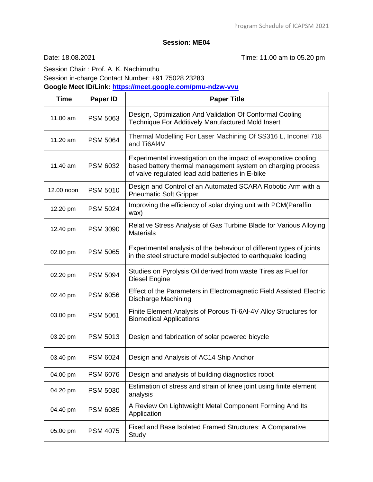Date: 18.08.2021 Time: 11.00 am to 05.20 pm

Session Chair : Prof. A. K. Nachimuthu Session in-charge Contact Number: +91 75028 23283 **Google Meet ID/Link:<https://meet.google.com/pmu-ndzw-vvu>**

| <b>Time</b> | <b>Paper ID</b> | <b>Paper Title</b>                                                                                                                                                                 |
|-------------|-----------------|------------------------------------------------------------------------------------------------------------------------------------------------------------------------------------|
| 11.00 am    | <b>PSM 5063</b> | Design, Optimization And Validation Of Conformal Cooling<br>Technique For Additively Manufactured Mold Insert                                                                      |
| 11.20 am    | <b>PSM 5064</b> | Thermal Modelling For Laser Machining Of SS316 L, Inconel 718<br>and Ti6Al4V                                                                                                       |
| 11.40 am    | <b>PSM 6032</b> | Experimental investigation on the impact of evaporative cooling<br>based battery thermal management system on charging process<br>of valve regulated lead acid batteries in E-bike |
| 12.00 noon  | <b>PSM 5010</b> | Design and Control of an Automated SCARA Robotic Arm with a<br><b>Pneumatic Soft Gripper</b>                                                                                       |
| 12.20 pm    | <b>PSM 5024</b> | Improving the efficiency of solar drying unit with PCM(Paraffin<br>wax)                                                                                                            |
| 12.40 pm    | <b>PSM 3090</b> | Relative Stress Analysis of Gas Turbine Blade for Various Alloying<br><b>Materials</b>                                                                                             |
| 02.00 pm    | <b>PSM 5065</b> | Experimental analysis of the behaviour of different types of joints<br>in the steel structure model subjected to earthquake loading                                                |
| 02.20 pm    | <b>PSM 5094</b> | Studies on Pyrolysis Oil derived from waste Tires as Fuel for<br>Diesel Engine                                                                                                     |
| 02.40 pm    | <b>PSM 6056</b> | Effect of the Parameters in Electromagnetic Field Assisted Electric<br><b>Discharge Machining</b>                                                                                  |
| 03.00 pm    | <b>PSM 5061</b> | Finite Element Analysis of Porous Ti-6AI-4V Alloy Structures for<br><b>Biomedical Applications</b>                                                                                 |
| 03.20 pm    | <b>PSM 5013</b> | Design and fabrication of solar powered bicycle                                                                                                                                    |
| 03.40 pm    | <b>PSM 6024</b> | Design and Analysis of AC14 Ship Anchor                                                                                                                                            |
| 04.00 pm    | <b>PSM 6076</b> | Design and analysis of building diagnostics robot                                                                                                                                  |
| 04.20 pm    | <b>PSM 5030</b> | Estimation of stress and strain of knee joint using finite element<br>analysis                                                                                                     |
| 04.40 pm    | <b>PSM 6085</b> | A Review On Lightweight Metal Component Forming And Its<br>Application                                                                                                             |
| 05.00 pm    | <b>PSM 4075</b> | Fixed and Base Isolated Framed Structures: A Comparative<br>Study                                                                                                                  |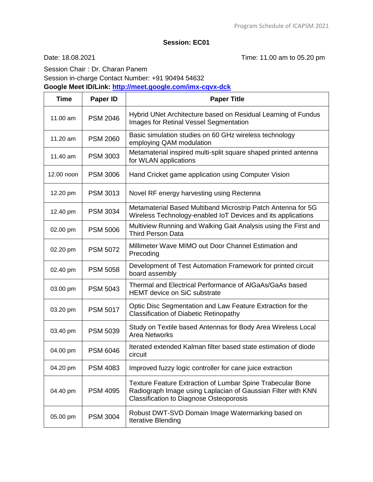Date: 18.08.2021 Time: 11.00 am to 05.20 pm

Session Chair : Dr. Charan Panem Session in-charge Contact Number: +91 90494 54632 **Google Meet ID/Link:<http://meet.google.com/imx-cqvx-dck>**

| <b>Time</b> | Paper ID        | <b>Paper Title</b>                                                                                                                                                           |
|-------------|-----------------|------------------------------------------------------------------------------------------------------------------------------------------------------------------------------|
| 11.00 am    | <b>PSM 2046</b> | Hybrid UNet Architecture based on Residual Learning of Fundus<br><b>Images for Retinal Vessel Segmentation</b>                                                               |
| 11.20 am    | <b>PSM 2060</b> | Basic simulation studies on 60 GHz wireless technology<br>employing QAM modulation                                                                                           |
| 11.40 am    | <b>PSM 3003</b> | Metamaterial inspired multi-split square shaped printed antenna<br>for WLAN applications                                                                                     |
| 12.00 noon  | <b>PSM 3006</b> | Hand Cricket game application using Computer Vision                                                                                                                          |
| 12.20 pm    | <b>PSM 3013</b> | Novel RF energy harvesting using Rectenna                                                                                                                                    |
| 12.40 pm    | <b>PSM 3034</b> | Metamaterial Based Multiband Microstrip Patch Antenna for 5G<br>Wireless Technology-enabled IoT Devices and its applications                                                 |
| 02.00 pm    | <b>PSM 5006</b> | Multiview Running and Walking Gait Analysis using the First and<br><b>Third Person Data</b>                                                                                  |
| 02.20 pm    | <b>PSM 5072</b> | Millimeter Wave MIMO out Door Channel Estimation and<br>Precoding                                                                                                            |
| 02.40 pm    | <b>PSM 5058</b> | Development of Test Automation Framework for printed circuit<br>board assembly                                                                                               |
| 03.00 pm    | <b>PSM 5043</b> | Thermal and Electrical Performance of AIGaAs/GaAs based<br><b>HEMT</b> device on SiC substrate                                                                               |
| 03.20 pm    | <b>PSM 5017</b> | Optic Disc Segmentation and Law Feature Extraction for the<br><b>Classification of Diabetic Retinopathy</b>                                                                  |
| 03.40 pm    | <b>PSM 5039</b> | Study on Textile based Antennas for Body Area Wireless Local<br><b>Area Networks</b>                                                                                         |
| 04.00 pm    | <b>PSM 6046</b> | Iterated extended Kalman filter based state estimation of diode<br>circuit                                                                                                   |
| 04.20 pm    | <b>PSM 4083</b> | Improved fuzzy logic controller for cane juice extraction                                                                                                                    |
| 04.40 pm    | <b>PSM 4095</b> | Texture Feature Extraction of Lumbar Spine Trabecular Bone<br>Radiograph Image using Laplacian of Gaussian Filter with KNN<br><b>Classification to Diagnose Osteoporosis</b> |
| 05.00 pm    | <b>PSM 3004</b> | Robust DWT-SVD Domain Image Watermarking based on<br><b>Iterative Blending</b>                                                                                               |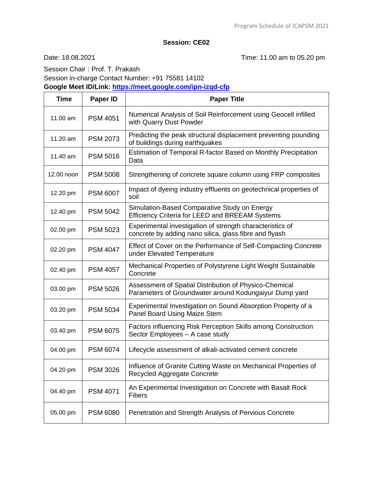Date: 18.08.2021 Time: 11.00 am to 05.20 pm

Session Chair : Prof. T. Prakash Session in-charge Contact Number: +91 75581 14102 **Google Meet ID/Link:<https://meet.google.com/ipn-izqd-cfp>**

| <b>Time</b> | Paper ID        | <b>Paper Title</b>                                                                                                  |
|-------------|-----------------|---------------------------------------------------------------------------------------------------------------------|
| 11.00 am    | <b>PSM 4051</b> | Numerical Analysis of Soil Reinforcement using Geocell infilled<br>with Quarry Dust Powder                          |
| 11.20 am    | <b>PSM 2073</b> | Predicting the peak structural displacement preventing pounding<br>of buildings during earthquakes                  |
| 11.40 am    | <b>PSM 5016</b> | Estimation of Temporal R-factor Based on Monthly Precipitation<br>Data                                              |
| 12.00 noon  | <b>PSM 5008</b> | Strengthening of concrete square column using FRP composites                                                        |
| 12.20 pm    | <b>PSM 6007</b> | Impact of dyeing industry effluents on geotechnical properties of<br>soil                                           |
| 12.40 pm    | <b>PSM 5042</b> | Simulation-Based Comparative Study on Energy<br>Efficiency Criteria for LEED and BREEAM Systems                     |
| 02.00 pm    | <b>PSM 5023</b> | Experimental investigation of strength characteristics of<br>concrete by adding nano silica, glass fibre and flyash |
| 02.20 pm    | <b>PSM 4047</b> | Effect of Cover on the Performance of Self-Compacting Concrete<br>under Elevated Temperature                        |
| 02.40 pm    | <b>PSM 4057</b> | Mechanical Properties of Polystyrene Light Weight Sustainable<br>Concrete                                           |
| 03.00 pm    | <b>PSM 5026</b> | Assessment of Spatial Distribution of Physico-Chemical<br>Parameters of Groundwater around Kodungaiyur Dump yard    |
| 03.20 pm    | <b>PSM 5034</b> | Experimental Investigation on Sound Absorption Property of a<br>Panel Board Using Maize Stem                        |
| 03.40 pm    | <b>PSM 6075</b> | Factors influencing Risk Perception Skills among Construction<br>Sector Employees - A case study                    |
| 04.00 pm    | <b>PSM 6074</b> | Lifecycle assessment of alkali-activated cement concrete                                                            |
| 04.20 pm    | <b>PSM 3026</b> | Influence of Granite Cutting Waste on Mechanical Properties of<br>Recycled Aggregate Concrete                       |
| 04.40 pm    | <b>PSM 4071</b> | An Experimental Investigation on Concrete with Basalt Rock<br><b>Fibers</b>                                         |
| 05.00 pm    | <b>PSM 6080</b> | Penetration and Strength Analysis of Pervious Concrete                                                              |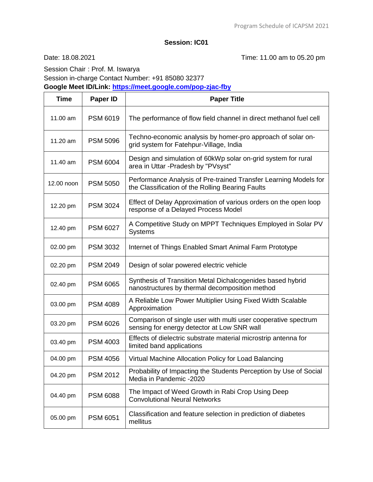# **Session: IC01**

Date: 18.08.2021 Time: 11.00 am to 05.20 pm

Session Chair : Prof. M. Iswarya Session in-charge Contact Number: +91 85080 32377

**Google Meet ID/Link:<https://meet.google.com/pop-zjac-fby>**

| <b>Time</b> | Paper ID        | <b>Paper Title</b>                                                                                                   |
|-------------|-----------------|----------------------------------------------------------------------------------------------------------------------|
| 11.00 am    | <b>PSM 6019</b> | The performance of flow field channel in direct methanol fuel cell                                                   |
| 11.20 am    | <b>PSM 5096</b> | Techno-economic analysis by homer-pro approach of solar on-<br>grid system for Fatehpur-Village, India               |
| 11.40 am    | <b>PSM 6004</b> | Design and simulation of 60kWp solar on-grid system for rural<br>area in Uttar - Pradesh by "PVsyst"                 |
| 12.00 noon  | <b>PSM 5050</b> | Performance Analysis of Pre-trained Transfer Learning Models for<br>the Classification of the Rolling Bearing Faults |
| 12.20 pm    | <b>PSM 3024</b> | Effect of Delay Approximation of various orders on the open loop<br>response of a Delayed Process Model              |
| 12.40 pm    | <b>PSM 6027</b> | A Competitive Study on MPPT Techniques Employed in Solar PV<br><b>Systems</b>                                        |
| 02.00 pm    | <b>PSM 3032</b> | Internet of Things Enabled Smart Animal Farm Prototype                                                               |
| 02.20 pm    | <b>PSM 2049</b> | Design of solar powered electric vehicle                                                                             |
| 02.40 pm    | <b>PSM 6065</b> | Synthesis of Transition Metal Dichalcogenides based hybrid<br>nanostructures by thermal decomposition method         |
| 03.00 pm    | <b>PSM 4089</b> | A Reliable Low Power Multiplier Using Fixed Width Scalable<br>Approximation                                          |
| 03.20 pm    | <b>PSM 6026</b> | Comparison of single user with multi user cooperative spectrum<br>sensing for energy detector at Low SNR wall        |
| 03.40 pm    | <b>PSM 4003</b> | Effects of dielectric substrate material microstrip antenna for<br>limited band applications                         |
| 04.00 pm    | <b>PSM 4056</b> | Virtual Machine Allocation Policy for Load Balancing                                                                 |
| 04.20 pm    | <b>PSM 2012</b> | Probability of Impacting the Students Perception by Use of Social<br>Media in Pandemic -2020                         |
| 04.40 pm    | <b>PSM 6088</b> | The Impact of Weed Growth in Rabi Crop Using Deep<br><b>Convolutional Neural Networks</b>                            |
| 05.00 pm    | <b>PSM 6051</b> | Classification and feature selection in prediction of diabetes<br>mellitus                                           |